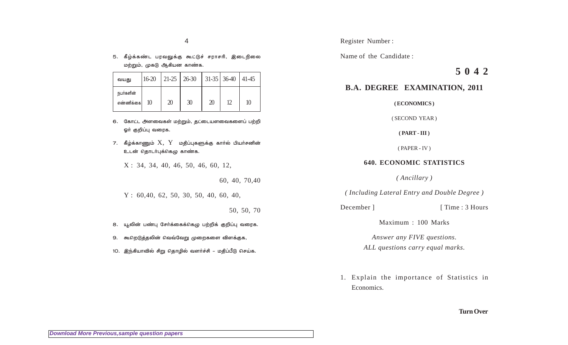5. கீழ்க்கண்ட பரவலுக்கு கூட்டுச் சராசரி, இடைநிலை மற்றும், முகடு ஆகியன காண்க.

| வயது                   | $16-20$ |    | $\vert$ 21-25 $\vert$ 26-30 $\vert$ 31-35 $\vert$ 36-40 $\vert$ 41-45 |    |    |    |
|------------------------|---------|----|-----------------------------------------------------------------------|----|----|----|
| நபர்களின்<br>எண்ணிக்கை | 10      | 20 | 30                                                                    | 20 | 12 | 10 |

- 6. கோட்ட அளவைகள் மற்றும், தட்டையளவைகளைப் பற்றி ஓர் குறிப்பு வரைக.
- 7. கீழ்க்காணும்  $X$ ,  $Y$  மதிப்புகளுக்கு கார்ல் பியர்சனின் உடன் தொடா்புக்கெழு காண்க.

 $X: 34, 34, 40, 46, 50, 46, 60, 12,$ 

60, 40, 70, 40

 $Y: 60,40, 62, 50, 30, 50, 40, 60, 40,$ 

50, 50, 70

- 8. யூலின் பண்பு சேர்க்கைக்கெழு பற்றிக் குறிப்பு வரைக.
- 9. கூறெடுத்தலின் வெவ்வேறு முறைகளை விளக்குக,
- 10. இந்கியாவில் சிறு தொழில் வளர்ச்சி மதிப்பீடு செய்க.

Name of the Candidate:

# 5042

# **B.A. DEGREE EXAMINATION, 2011**

(ECONOMICS)

(SECOND YEAR)

 $(PART - III)$ 

 $(PAPER - IV)$ 

## **640. ECONOMIC STATISTICS**

(Ancillary)

(Including Lateral Entry and Double Degree)

December 1

[ Time: 3 Hours

Maximum: 100 Marks

Answer any FIVE questions. ALL questions carry equal marks.

1. Explain the importance of Statistics in Economics.

### **Turn Over**